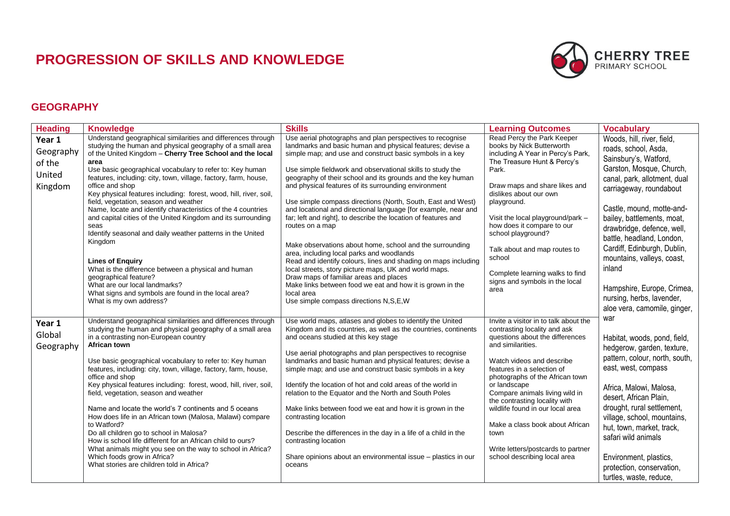## **PROGRESSION OF SKILLS AND KNOWLEDGE**



## **GEOGRAPHY**

| <b>Heading</b>                                     | <b>Knowledge</b>                                                                                                                                                                                                                                                                                                                                                                                                                                                                                                                                                                                                                                                                                                                                                                                                                                                                                             | <b>Skills</b>                                                                                                                                                                                                                                                                                                                                                                                                                                                                                                                                                                                                                                                                                                                                                                                                                                                                                                                                                                                   | <b>Learning Outcomes</b>                                                                                                                                                                                                                                                                                                                                                                                                                                            | <b>Vocabulary</b>                                                                                                                                                                                                                                                                                                                                                                                                          |
|----------------------------------------------------|--------------------------------------------------------------------------------------------------------------------------------------------------------------------------------------------------------------------------------------------------------------------------------------------------------------------------------------------------------------------------------------------------------------------------------------------------------------------------------------------------------------------------------------------------------------------------------------------------------------------------------------------------------------------------------------------------------------------------------------------------------------------------------------------------------------------------------------------------------------------------------------------------------------|-------------------------------------------------------------------------------------------------------------------------------------------------------------------------------------------------------------------------------------------------------------------------------------------------------------------------------------------------------------------------------------------------------------------------------------------------------------------------------------------------------------------------------------------------------------------------------------------------------------------------------------------------------------------------------------------------------------------------------------------------------------------------------------------------------------------------------------------------------------------------------------------------------------------------------------------------------------------------------------------------|---------------------------------------------------------------------------------------------------------------------------------------------------------------------------------------------------------------------------------------------------------------------------------------------------------------------------------------------------------------------------------------------------------------------------------------------------------------------|----------------------------------------------------------------------------------------------------------------------------------------------------------------------------------------------------------------------------------------------------------------------------------------------------------------------------------------------------------------------------------------------------------------------------|
| Year 1<br>Geography<br>of the<br>United<br>Kingdom | Understand geographical similarities and differences through<br>studying the human and physical geography of a small area<br>of the United Kingdom - Cherry Tree School and the local<br>area<br>Use basic geographical vocabulary to refer to: Key human<br>features, including: city, town, village, factory, farm, house,<br>office and shop<br>Key physical features including: forest, wood, hill, river, soil,<br>field, vegetation, season and weather<br>Name, locate and identify characteristics of the 4 countries<br>and capital cities of the United Kingdom and its surrounding<br>seas<br>Identify seasonal and daily weather patterns in the United<br>Kingdom<br><b>Lines of Enquiry</b><br>What is the difference between a physical and human<br>geographical feature?<br>What are our local landmarks?<br>What signs and symbols are found in the local area?<br>What is my own address? | Use aerial photographs and plan perspectives to recognise<br>landmarks and basic human and physical features; devise a<br>simple map; and use and construct basic symbols in a key<br>Use simple fieldwork and observational skills to study the<br>geography of their school and its grounds and the key human<br>and physical features of its surrounding environment<br>Use simple compass directions (North, South, East and West)<br>and locational and directional language [for example, near and<br>far; left and right], to describe the location of features and<br>routes on a map<br>Make observations about home, school and the surrounding<br>area, including local parks and woodlands<br>Read and identify colours, lines and shading on maps including<br>local streets, story picture maps, UK and world maps.<br>Draw maps of familiar areas and places<br>Make links between food we eat and how it is grown in the<br>local area<br>Use simple compass directions N,S,E,W | Read Percy the Park Keeper<br>books by Nick Butterworth<br>including A Year in Percy's Park,<br>The Treasure Hunt & Percy's<br>Park.<br>Draw maps and share likes and<br>dislikes about our own<br>playground.<br>Visit the local playground/park -<br>how does it compare to our<br>school playground?<br>Talk about and map routes to<br>school<br>Complete learning walks to find<br>signs and symbols in the local<br>area                                      | Woods, hill, river, field,<br>roads, school, Asda,<br>Sainsbury's, Watford,<br>Garston, Mosque, Church,<br>canal, park, allotment, dual<br>carriageway, roundabout<br>Castle, mound, motte-and-<br>bailey, battlements, moat,<br>drawbridge, defence, well,<br>battle, headland, London,<br>Cardiff, Edinburgh, Dublin,<br>mountains, valleys, coast,<br>inland<br>Hampshire, Europe, Crimea,<br>nursing, herbs, lavender, |
| Year 1<br>Global<br>Geography                      | Understand geographical similarities and differences through<br>studying the human and physical geography of a small area<br>in a contrasting non-European country<br>African town<br>Use basic geographical vocabulary to refer to: Key human<br>features, including: city, town, village, factory, farm, house,<br>office and shop<br>Key physical features including: forest, wood, hill, river, soil,<br>field, vegetation, season and weather<br>Name and locate the world's 7 continents and 5 oceans<br>How does life in an African town (Malosa, Malawi) compare<br>to Watford?<br>Do all children go to school in Malosa?<br>How is school life different for an African child to ours?<br>What animals might you see on the way to school in Africa?<br>Which foods grow in Africa?<br>What stories are children told in Africa?                                                                   | Use world maps, atlases and globes to identify the United<br>Kingdom and its countries, as well as the countries, continents<br>and oceans studied at this key stage<br>Use aerial photographs and plan perspectives to recognise<br>landmarks and basic human and physical features; devise a<br>simple map; and use and construct basic symbols in a key<br>Identify the location of hot and cold areas of the world in<br>relation to the Equator and the North and South Poles<br>Make links between food we eat and how it is grown in the<br>contrasting location<br>Describe the differences in the day in a life of a child in the<br>contrasting location<br>Share opinions about an environmental issue - plastics in our<br>oceans                                                                                                                                                                                                                                                   | Invite a visitor in to talk about the<br>contrasting locality and ask<br>questions about the differences<br>and similarities.<br>Watch videos and describe<br>features in a selection of<br>photographs of the African town<br>or landscape<br>Compare animals living wild in<br>the contrasting locality with<br>wildlife found in our local area<br>Make a class book about African<br>town<br>Write letters/postcards to partner<br>school describing local area | aloe vera, camomile, ginger,<br>war<br>Habitat, woods, pond, field,<br>hedgerow, garden, texture,<br>pattern, colour, north, south,<br>east, west, compass<br>Africa, Malowi, Malosa,<br>desert, African Plain,<br>drought, rural settlement,<br>village, school, mountains,<br>hut, town, market, track,<br>safari wild animals<br>Environment, plastics,<br>protection, conservation,<br>turtles, waste, reduce,         |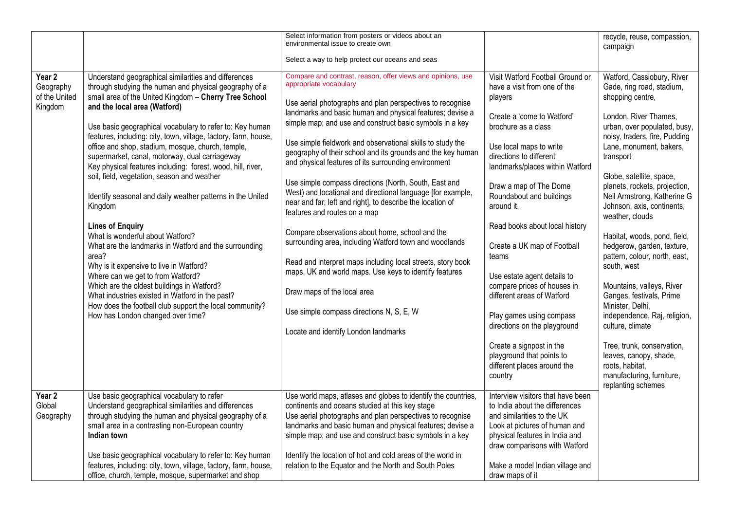|                                                 |                                                                                                                                                                                                                                                                                                                                                                                                                                                                                                                                                                                                                                                                                                                                                                                                                                                                                                                                                                                                                                                        | Select information from posters or videos about an<br>environmental issue to create own                                                                                                                                                                                                                                                                                                                                                                                                                                                                                                                                                                                                                                                                                                                                                                                                                                                                                                                                                         |                                                                                                                                                                                                                                                                                                                                                                                                                                                                                                                                                                                                                                    | recycle, reuse, compassion,<br>campaign                                                                                                                                                                                                                                                                                                                                                                                                                                                                                                                                                                                                                                                                                                 |
|-------------------------------------------------|--------------------------------------------------------------------------------------------------------------------------------------------------------------------------------------------------------------------------------------------------------------------------------------------------------------------------------------------------------------------------------------------------------------------------------------------------------------------------------------------------------------------------------------------------------------------------------------------------------------------------------------------------------------------------------------------------------------------------------------------------------------------------------------------------------------------------------------------------------------------------------------------------------------------------------------------------------------------------------------------------------------------------------------------------------|-------------------------------------------------------------------------------------------------------------------------------------------------------------------------------------------------------------------------------------------------------------------------------------------------------------------------------------------------------------------------------------------------------------------------------------------------------------------------------------------------------------------------------------------------------------------------------------------------------------------------------------------------------------------------------------------------------------------------------------------------------------------------------------------------------------------------------------------------------------------------------------------------------------------------------------------------------------------------------------------------------------------------------------------------|------------------------------------------------------------------------------------------------------------------------------------------------------------------------------------------------------------------------------------------------------------------------------------------------------------------------------------------------------------------------------------------------------------------------------------------------------------------------------------------------------------------------------------------------------------------------------------------------------------------------------------|-----------------------------------------------------------------------------------------------------------------------------------------------------------------------------------------------------------------------------------------------------------------------------------------------------------------------------------------------------------------------------------------------------------------------------------------------------------------------------------------------------------------------------------------------------------------------------------------------------------------------------------------------------------------------------------------------------------------------------------------|
|                                                 |                                                                                                                                                                                                                                                                                                                                                                                                                                                                                                                                                                                                                                                                                                                                                                                                                                                                                                                                                                                                                                                        | Select a way to help protect our oceans and seas                                                                                                                                                                                                                                                                                                                                                                                                                                                                                                                                                                                                                                                                                                                                                                                                                                                                                                                                                                                                |                                                                                                                                                                                                                                                                                                                                                                                                                                                                                                                                                                                                                                    |                                                                                                                                                                                                                                                                                                                                                                                                                                                                                                                                                                                                                                                                                                                                         |
| Year 2<br>Geography<br>of the United<br>Kingdom | Understand geographical similarities and differences<br>through studying the human and physical geography of a<br>small area of the United Kingdom - Cherry Tree School<br>and the local area (Watford)<br>Use basic geographical vocabulary to refer to: Key human<br>features, including: city, town, village, factory, farm, house,<br>office and shop, stadium, mosque, church, temple,<br>supermarket, canal, motorway, dual carriageway<br>Key physical features including: forest, wood, hill, river,<br>soil, field, vegetation, season and weather<br>Identify seasonal and daily weather patterns in the United<br>Kingdom<br><b>Lines of Enquiry</b><br>What is wonderful about Watford?<br>What are the landmarks in Watford and the surrounding<br>area?<br>Why is it expensive to live in Watford?<br>Where can we get to from Watford?<br>Which are the oldest buildings in Watford?<br>What industries existed in Watford in the past?<br>How does the football club support the local community?<br>How has London changed over time? | Compare and contrast, reason, offer views and opinions, use<br>appropriate vocabulary<br>Use aerial photographs and plan perspectives to recognise<br>landmarks and basic human and physical features; devise a<br>simple map; and use and construct basic symbols in a key<br>Use simple fieldwork and observational skills to study the<br>geography of their school and its grounds and the key human<br>and physical features of its surrounding environment<br>Use simple compass directions (North, South, East and<br>West) and locational and directional language [for example,<br>near and far; left and right], to describe the location of<br>features and routes on a map<br>Compare observations about home, school and the<br>surrounding area, including Watford town and woodlands<br>Read and interpret maps including local streets, story book<br>maps, UK and world maps. Use keys to identify features<br>Draw maps of the local area<br>Use simple compass directions N, S, E, W<br>Locate and identify London landmarks | Visit Watford Football Ground or<br>have a visit from one of the<br>players<br>Create a 'come to Watford'<br>brochure as a class<br>Use local maps to write<br>directions to different<br>landmarks/places within Watford<br>Draw a map of The Dome<br>Roundabout and buildings<br>around it.<br>Read books about local history<br>Create a UK map of Football<br>teams<br>Use estate agent details to<br>compare prices of houses in<br>different areas of Watford<br>Play games using compass<br>directions on the playground<br>Create a signpost in the<br>playground that points to<br>different places around the<br>country | Watford, Cassiobury, River<br>Gade, ring road, stadium,<br>shopping centre,<br>London, River Thames,<br>urban, over populated, busy,<br>noisy, traders, fire, Pudding<br>Lane, monument, bakers,<br>transport<br>Globe, satellite, space,<br>planets, rockets, projection,<br>Neil Armstrong, Katherine G<br>Johnson, axis, continents,<br>weather, clouds<br>Habitat, woods, pond, field,<br>hedgerow, garden, texture,<br>pattern, colour, north, east,<br>south, west<br>Mountains, valleys, River<br>Ganges, festivals, Prime<br>Minister, Delhi,<br>independence, Raj, religion,<br>culture, climate<br>Tree, trunk, conservation,<br>leaves, canopy, shade,<br>roots, habitat,<br>manufacturing, furniture,<br>replanting schemes |
| Year 2<br>Global<br>Geography                   | Use basic geographical vocabulary to refer<br>Understand geographical similarities and differences<br>through studying the human and physical geography of a<br>small area in a contrasting non-European country<br>Indian town<br>Use basic geographical vocabulary to refer to: Key human                                                                                                                                                                                                                                                                                                                                                                                                                                                                                                                                                                                                                                                                                                                                                            | Use world maps, atlases and globes to identify the countries,<br>continents and oceans studied at this key stage<br>Use aerial photographs and plan perspectives to recognise<br>landmarks and basic human and physical features; devise a<br>simple map; and use and construct basic symbols in a key<br>Identify the location of hot and cold areas of the world in                                                                                                                                                                                                                                                                                                                                                                                                                                                                                                                                                                                                                                                                           | Interview visitors that have been<br>to India about the differences<br>and similarities to the UK<br>Look at pictures of human and<br>physical features in India and<br>draw comparisons with Watford                                                                                                                                                                                                                                                                                                                                                                                                                              |                                                                                                                                                                                                                                                                                                                                                                                                                                                                                                                                                                                                                                                                                                                                         |
|                                                 | features, including: city, town, village, factory, farm, house,<br>office, church, temple, mosque, supermarket and shop                                                                                                                                                                                                                                                                                                                                                                                                                                                                                                                                                                                                                                                                                                                                                                                                                                                                                                                                | relation to the Equator and the North and South Poles                                                                                                                                                                                                                                                                                                                                                                                                                                                                                                                                                                                                                                                                                                                                                                                                                                                                                                                                                                                           | Make a model Indian village and<br>draw maps of it                                                                                                                                                                                                                                                                                                                                                                                                                                                                                                                                                                                 |                                                                                                                                                                                                                                                                                                                                                                                                                                                                                                                                                                                                                                                                                                                                         |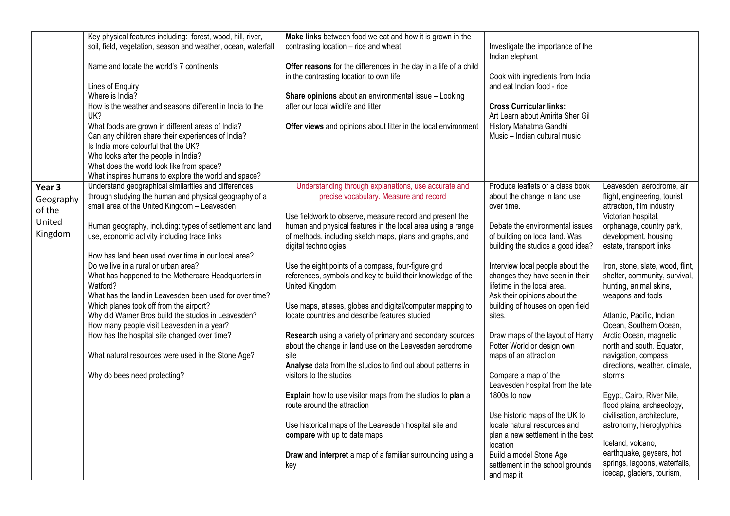|           | Key physical features including: forest, wood, hill, river,                                 | Make links between food we eat and how it is grown in the                                                          |                                                                     |                                                                   |
|-----------|---------------------------------------------------------------------------------------------|--------------------------------------------------------------------------------------------------------------------|---------------------------------------------------------------------|-------------------------------------------------------------------|
|           | soil, field, vegetation, season and weather, ocean, waterfall                               | contrasting location – rice and wheat                                                                              | Investigate the importance of the                                   |                                                                   |
|           |                                                                                             |                                                                                                                    | Indian elephant                                                     |                                                                   |
|           | Name and locate the world's 7 continents                                                    | Offer reasons for the differences in the day in a life of a child                                                  |                                                                     |                                                                   |
|           |                                                                                             | in the contrasting location to own life                                                                            | Cook with ingredients from India                                    |                                                                   |
|           | Lines of Enquiry                                                                            |                                                                                                                    | and eat Indian food - rice                                          |                                                                   |
|           | Where is India?                                                                             | Share opinions about an environmental issue - Looking                                                              |                                                                     |                                                                   |
|           | How is the weather and seasons different in India to the                                    | after our local wildlife and litter                                                                                | <b>Cross Curricular links:</b>                                      |                                                                   |
|           | UK?                                                                                         |                                                                                                                    | Art Learn about Amirita Sher Gil                                    |                                                                   |
|           | What foods are grown in different areas of India?                                           | Offer views and opinions about litter in the local environment                                                     | History Mahatma Gandhi                                              |                                                                   |
|           | Can any children share their experiences of India?                                          |                                                                                                                    | Music - Indian cultural music                                       |                                                                   |
|           | Is India more colourful that the UK?                                                        |                                                                                                                    |                                                                     |                                                                   |
|           | Who looks after the people in India?                                                        |                                                                                                                    |                                                                     |                                                                   |
|           | What does the world look like from space?                                                   |                                                                                                                    |                                                                     |                                                                   |
|           | What inspires humans to explore the world and space?                                        |                                                                                                                    |                                                                     |                                                                   |
| Year 3    | Understand geographical similarities and differences                                        | Understanding through explanations, use accurate and                                                               | Produce leaflets or a class book                                    | Leavesden, aerodrome, air                                         |
| Geography | through studying the human and physical geography of a                                      | precise vocabulary. Measure and record                                                                             | about the change in land use                                        | flight, engineering, tourist                                      |
| of the    | small area of the United Kingdom - Leavesden                                                |                                                                                                                    | over time.                                                          | attraction, film industry,                                        |
| United    |                                                                                             | Use fieldwork to observe, measure record and present the                                                           |                                                                     | Victorian hospital,                                               |
| Kingdom   | Human geography, including: types of settlement and land                                    | human and physical features in the local area using a range                                                        | Debate the environmental issues                                     | orphanage, country park,                                          |
|           | use, economic activity including trade links                                                | of methods, including sketch maps, plans and graphs, and                                                           | of building on local land. Was                                      | development, housing                                              |
|           |                                                                                             | digital technologies                                                                                               | building the studios a good idea?                                   | estate, transport links                                           |
|           | How has land been used over time in our local area?<br>Do we live in a rural or urban area? |                                                                                                                    |                                                                     |                                                                   |
|           | What has happened to the Mothercare Headquarters in                                         | Use the eight points of a compass, four-figure grid<br>references, symbols and key to build their knowledge of the | Interview local people about the<br>changes they have seen in their | Iron, stone, slate, wood, flint,<br>shelter, community, survival, |
|           | Watford?                                                                                    | United Kingdom                                                                                                     | lifetime in the local area.                                         | hunting, animal skins,                                            |
|           | What has the land in Leavesden been used for over time?                                     |                                                                                                                    | Ask their opinions about the                                        | weapons and tools                                                 |
|           | Which planes took off from the airport?                                                     | Use maps, atlases, globes and digital/computer mapping to                                                          | building of houses on open field                                    |                                                                   |
|           | Why did Warner Bros build the studios in Leavesden?                                         | locate countries and describe features studied                                                                     | sites.                                                              | Atlantic, Pacific, Indian                                         |
|           | How many people visit Leavesden in a year?                                                  |                                                                                                                    |                                                                     | Ocean, Southern Ocean,                                            |
|           | How has the hospital site changed over time?                                                | Research using a variety of primary and secondary sources                                                          | Draw maps of the layout of Harry                                    | Arctic Ocean, magnetic                                            |
|           |                                                                                             | about the change in land use on the Leavesden aerodrome                                                            | Potter World or design own                                          | north and south. Equator,                                         |
|           | What natural resources were used in the Stone Age?                                          | site                                                                                                               | maps of an attraction                                               | navigation, compass                                               |
|           |                                                                                             | Analyse data from the studios to find out about patterns in                                                        |                                                                     | directions, weather, climate,                                     |
|           | Why do bees need protecting?                                                                | visitors to the studios                                                                                            | Compare a map of the                                                | storms                                                            |
|           |                                                                                             |                                                                                                                    | Leavesden hospital from the late                                    |                                                                   |
|           |                                                                                             | Explain how to use visitor maps from the studios to plan a                                                         | 1800s to now                                                        | Egypt, Cairo, River Nile,                                         |
|           |                                                                                             | route around the attraction                                                                                        |                                                                     | flood plains, archaeology,                                        |
|           |                                                                                             |                                                                                                                    | Use historic maps of the UK to                                      | civilisation, architecture,                                       |
|           |                                                                                             | Use historical maps of the Leavesden hospital site and                                                             | locate natural resources and                                        | astronomy, hieroglyphics                                          |
|           |                                                                                             | compare with up to date maps                                                                                       | plan a new settlement in the best                                   |                                                                   |
|           |                                                                                             |                                                                                                                    | location                                                            | Iceland, volcano,                                                 |
|           |                                                                                             | Draw and interpret a map of a familiar surrounding using a                                                         | Build a model Stone Age                                             | earthquake, geysers, hot                                          |
|           |                                                                                             | key                                                                                                                | settlement in the school grounds                                    | springs, lagoons, waterfalls,                                     |
|           |                                                                                             |                                                                                                                    | and map it                                                          | icecap, glaciers, tourism,                                        |
|           |                                                                                             |                                                                                                                    |                                                                     |                                                                   |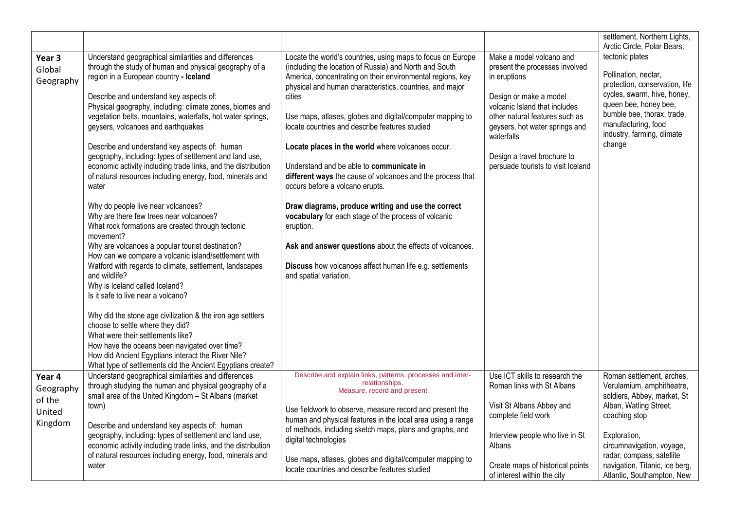|                                                    |                                                                                                                                                                                                                                                                                                                                                                                                                                                                                                                                                                                                                                                               |                                                                                                                                                                                                                                                                                                                                                                                                                                                                                                                                                                                                                                  |                                                                                                                                                                                                                                                                                              | settlement, Northern Lights,<br>Arctic Circle, Polar Bears,                                                                                                                                                                    |
|----------------------------------------------------|---------------------------------------------------------------------------------------------------------------------------------------------------------------------------------------------------------------------------------------------------------------------------------------------------------------------------------------------------------------------------------------------------------------------------------------------------------------------------------------------------------------------------------------------------------------------------------------------------------------------------------------------------------------|----------------------------------------------------------------------------------------------------------------------------------------------------------------------------------------------------------------------------------------------------------------------------------------------------------------------------------------------------------------------------------------------------------------------------------------------------------------------------------------------------------------------------------------------------------------------------------------------------------------------------------|----------------------------------------------------------------------------------------------------------------------------------------------------------------------------------------------------------------------------------------------------------------------------------------------|--------------------------------------------------------------------------------------------------------------------------------------------------------------------------------------------------------------------------------|
| Year 3<br>Global<br>Geography                      | Understand geographical similarities and differences<br>through the study of human and physical geography of a<br>region in a European country - Iceland<br>Describe and understand key aspects of:<br>Physical geography, including: climate zones, biomes and<br>vegetation belts, mountains, waterfalls, hot water springs,<br>geysers, volcanoes and earthquakes<br>Describe and understand key aspects of: human<br>geography, including: types of settlement and land use,<br>economic activity including trade links, and the distribution<br>of natural resources including energy, food, minerals and<br>water<br>Why do people live near volcanoes? | Locate the world's countries, using maps to focus on Europe<br>(including the location of Russia) and North and South<br>America, concentrating on their environmental regions, key<br>physical and human characteristics, countries, and major<br>cities<br>Use maps, atlases, globes and digital/computer mapping to<br>locate countries and describe features studied<br>Locate places in the world where volcanoes occur.<br>Understand and be able to communicate in<br>different ways the cause of volcanoes and the process that<br>occurs before a volcano erupts.<br>Draw diagrams, produce writing and use the correct | Make a model volcano and<br>present the processes involved<br>in eruptions<br>Design or make a model<br>volcanic Island that includes<br>other natural features such as<br>geysers, hot water springs and<br>waterfalls<br>Design a travel brochure to<br>persuade tourists to visit Iceland | tectonic plates<br>Pollination, nectar,<br>protection, conservation, life<br>cycles, swarm, hive, honey,<br>queen bee, honey bee,<br>bumble bee, thorax, trade,<br>manufacturing, food<br>industry, farming, climate<br>change |
|                                                    | Why are there few trees near volcanoes?<br>What rock formations are created through tectonic<br>movement?<br>Why are volcanoes a popular tourist destination?<br>How can we compare a volcanic island/settlement with<br>Watford with regards to climate, settlement, landscapes<br>and wildlife?<br>Why is Iceland called Iceland?<br>Is it safe to live near a volcano?                                                                                                                                                                                                                                                                                     | vocabulary for each stage of the process of volcanic<br>eruption.<br>Ask and answer questions about the effects of volcanoes.<br>Discuss how volcanoes affect human life e.g. settlements<br>and spatial variation.                                                                                                                                                                                                                                                                                                                                                                                                              |                                                                                                                                                                                                                                                                                              |                                                                                                                                                                                                                                |
|                                                    | Why did the stone age civilization & the iron age settlers<br>choose to settle where they did?<br>What were their settlements like?<br>How have the oceans been navigated over time?<br>How did Ancient Egyptians interact the River Nile?<br>What type of settlements did the Ancient Egyptians create?                                                                                                                                                                                                                                                                                                                                                      |                                                                                                                                                                                                                                                                                                                                                                                                                                                                                                                                                                                                                                  |                                                                                                                                                                                                                                                                                              |                                                                                                                                                                                                                                |
| Year 4<br>Geography<br>of the<br>United<br>Kingdom | Understand geographical similarities and differences<br>through studying the human and physical geography of a<br>small area of the United Kingdom - St Albans (market<br>town)<br>Describe and understand key aspects of: human<br>geography, including: types of settlement and land use,<br>economic activity including trade links, and the distribution<br>of natural resources including energy, food, minerals and                                                                                                                                                                                                                                     | Describe and explain links, patterns, processes and inter-<br>relationships.<br>Measure, record and present<br>Use fieldwork to observe, measure record and present the<br>human and physical features in the local area using a range<br>of methods, including sketch maps, plans and graphs, and<br>digital technologies<br>Use maps, atlases, globes and digital/computer mapping to                                                                                                                                                                                                                                          | Use ICT skills to research the<br>Roman links with St Albans<br>Visit St Albans Abbey and<br>complete field work<br>Interview people who live in St<br>Albans                                                                                                                                | Roman settlement, arches,<br>Verulamium, amphitheatre,<br>soldiers, Abbey, market, St<br>Alban, Watling Street,<br>coaching stop<br>Exploration,<br>circumnavigation, voyage,<br>radar, compass, satellite                     |
|                                                    | water                                                                                                                                                                                                                                                                                                                                                                                                                                                                                                                                                                                                                                                         | locate countries and describe features studied                                                                                                                                                                                                                                                                                                                                                                                                                                                                                                                                                                                   | Create maps of historical points<br>of interest within the city                                                                                                                                                                                                                              | navigation, Titanic, ice berg,<br>Atlantic, Southampton, New                                                                                                                                                                   |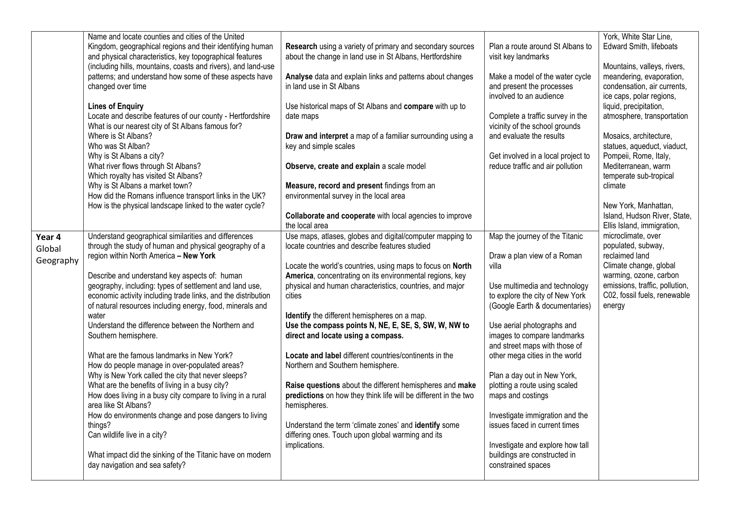|           | Name and locate counties and cities of the United             |                                                                 |                                    | York, White Star Line,         |
|-----------|---------------------------------------------------------------|-----------------------------------------------------------------|------------------------------------|--------------------------------|
|           | Kingdom, geographical regions and their identifying human     | Research using a variety of primary and secondary sources       | Plan a route around St Albans to   | <b>Edward Smith, lifeboats</b> |
|           | and physical characteristics, key topographical features      | about the change in land use in St Albans, Hertfordshire        | visit key landmarks                |                                |
|           | (including hills, mountains, coasts and rivers), and land-use |                                                                 |                                    | Mountains, valleys, rivers,    |
|           | patterns; and understand how some of these aspects have       | Analyse data and explain links and patterns about changes       | Make a model of the water cycle    | meandering, evaporation,       |
|           | changed over time                                             | in land use in St Albans                                        | and present the processes          | condensation, air currents,    |
|           |                                                               |                                                                 | involved to an audience            | ice caps, polar regions,       |
|           | <b>Lines of Enquiry</b>                                       | Use historical maps of St Albans and compare with up to         |                                    | liquid, precipitation,         |
|           | Locate and describe features of our county - Hertfordshire    | date maps                                                       | Complete a traffic survey in the   | atmosphere, transportation     |
|           | What is our nearest city of St Albans famous for?             |                                                                 | vicinity of the school grounds     |                                |
|           | Where is St Albans?                                           | Draw and interpret a map of a familiar surrounding using a      | and evaluate the results           | Mosaics, architecture,         |
|           | Who was St Alban?                                             | key and simple scales                                           |                                    | statues, aqueduct, viaduct,    |
|           | Why is St Albans a city?                                      |                                                                 | Get involved in a local project to | Pompeii, Rome, Italy,          |
|           | What river flows through St Albans?                           | Observe, create and explain a scale model                       | reduce traffic and air pollution   | Mediterranean, warm            |
|           | Which royalty has visited St Albans?                          |                                                                 |                                    | temperate sub-tropical         |
|           | Why is St Albans a market town?                               | Measure, record and present findings from an                    |                                    | climate                        |
|           | How did the Romans influence transport links in the UK?       | environmental survey in the local area                          |                                    |                                |
|           | How is the physical landscape linked to the water cycle?      |                                                                 |                                    | New York, Manhattan,           |
|           |                                                               | Collaborate and cooperate with local agencies to improve        |                                    | Island, Hudson River, State,   |
|           |                                                               | the local area                                                  |                                    | Ellis Island, immigration,     |
|           | Understand geographical similarities and differences          | Use maps, atlases, globes and digital/computer mapping to       | Map the journey of the Titanic     | microclimate, over             |
| Year 4    | through the study of human and physical geography of a        | locate countries and describe features studied                  |                                    | populated, subway,             |
| Global    | region within North America - New York                        |                                                                 | Draw a plan view of a Roman        | reclaimed land                 |
| Geography |                                                               | Locate the world's countries, using maps to focus on North      | villa                              | Climate change, global         |
|           | Describe and understand key aspects of: human                 | America, concentrating on its environmental regions, key        |                                    | warming, ozone, carbon         |
|           | geography, including: types of settlement and land use,       | physical and human characteristics, countries, and major        | Use multimedia and technology      | emissions, traffic, pollution, |
|           | economic activity including trade links, and the distribution | cities                                                          | to explore the city of New York    | C02, fossil fuels, renewable   |
|           | of natural resources including energy, food, minerals and     |                                                                 | (Google Earth & documentaries)     | energy                         |
|           | water                                                         | Identify the different hemispheres on a map.                    |                                    |                                |
|           | Understand the difference between the Northern and            | Use the compass points N, NE, E, SE, S, SW, W, NW to            | Use aerial photographs and         |                                |
|           | Southern hemisphere.                                          | direct and locate using a compass.                              | images to compare landmarks        |                                |
|           |                                                               |                                                                 | and street maps with those of      |                                |
|           | What are the famous landmarks in New York?                    | Locate and label different countries/continents in the          | other mega cities in the world     |                                |
|           | How do people manage in over-populated areas?                 | Northern and Southern hemisphere.                               |                                    |                                |
|           | Why is New York called the city that never sleeps?            |                                                                 | Plan a day out in New York,        |                                |
|           | What are the benefits of living in a busy city?               | Raise questions about the different hemispheres and make        | plotting a route using scaled      |                                |
|           | How does living in a busy city compare to living in a rural   | predictions on how they think life will be different in the two | maps and costings                  |                                |
|           | area like St Albans?                                          | hemispheres.                                                    |                                    |                                |
|           | How do environments change and pose dangers to living         |                                                                 | Investigate immigration and the    |                                |
|           | things?                                                       | Understand the term 'climate zones' and identify some           | issues faced in current times      |                                |
|           | Can wildlife live in a city?                                  | differing ones. Touch upon global warming and its               |                                    |                                |
|           |                                                               | implications.                                                   | Investigate and explore how tall   |                                |
|           | What impact did the sinking of the Titanic have on modern     |                                                                 | buildings are constructed in       |                                |
|           | day navigation and sea safety?                                |                                                                 | constrained spaces                 |                                |
|           |                                                               |                                                                 |                                    |                                |
|           |                                                               |                                                                 |                                    |                                |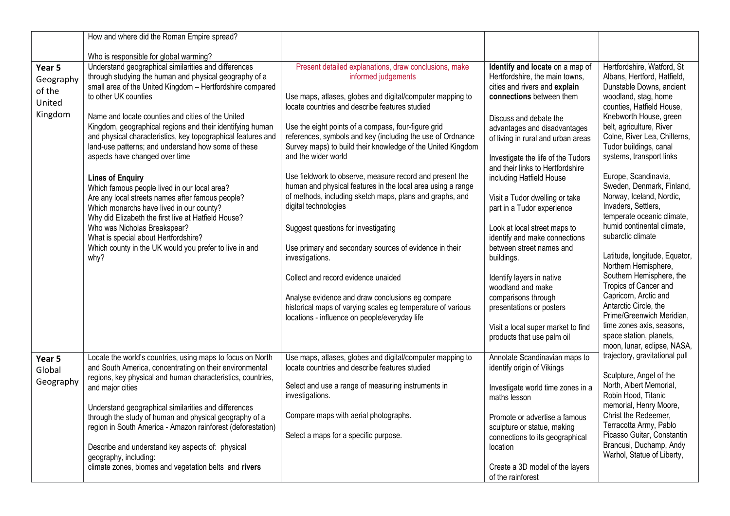|           | How and where did the Roman Empire spread?                                                                            |                                                                       |                                                              |                                                          |
|-----------|-----------------------------------------------------------------------------------------------------------------------|-----------------------------------------------------------------------|--------------------------------------------------------------|----------------------------------------------------------|
|           | Who is responsible for global warming?                                                                                |                                                                       |                                                              |                                                          |
| Year 5    | Understand geographical similarities and differences                                                                  | Present detailed explanations, draw conclusions, make                 | Identify and locate on a map of                              | Hertfordshire, Watford, St                               |
|           | through studying the human and physical geography of a                                                                | informed judgements                                                   | Hertfordshire, the main towns,                               | Albans, Hertford, Hatfield,                              |
| Geography | small area of the United Kingdom - Hertfordshire compared                                                             |                                                                       | cities and rivers and explain                                | Dunstable Downs, ancient                                 |
| of the    | to other UK counties                                                                                                  | Use maps, atlases, globes and digital/computer mapping to             | connections between them                                     | woodland, stag, home                                     |
| United    |                                                                                                                       | locate countries and describe features studied                        |                                                              | counties, Hatfield House,                                |
| Kingdom   | Name and locate counties and cities of the United                                                                     |                                                                       | Discuss and debate the                                       | Knebworth House, green                                   |
|           | Kingdom, geographical regions and their identifying human                                                             | Use the eight points of a compass, four-figure grid                   | advantages and disadvantages                                 | belt, agriculture, River                                 |
|           | and physical characteristics, key topographical features and                                                          | references, symbols and key (including the use of Ordnance            | of living in rural and urban areas                           | Colne, River Lea, Chilterns,                             |
|           | land-use patterns; and understand how some of these                                                                   | Survey maps) to build their knowledge of the United Kingdom           |                                                              | Tudor buildings, canal                                   |
|           | aspects have changed over time                                                                                        | and the wider world                                                   | Investigate the life of the Tudors                           | systems, transport links                                 |
|           |                                                                                                                       |                                                                       | and their links to Hertfordshire                             |                                                          |
|           | <b>Lines of Enquiry</b>                                                                                               | Use fieldwork to observe, measure record and present the              | including Hatfield House                                     | Europe, Scandinavia,                                     |
|           | Which famous people lived in our local area?                                                                          | human and physical features in the local area using a range           |                                                              | Sweden, Denmark, Finland,                                |
|           | Are any local streets names after famous people?                                                                      | of methods, including sketch maps, plans and graphs, and              | Visit a Tudor dwelling or take                               | Norway, Iceland, Nordic,                                 |
|           | Which monarchs have lived in our county?                                                                              | digital technologies                                                  | part in a Tudor experience                                   | Invaders, Settlers,                                      |
|           | Why did Elizabeth the first live at Hatfield House?                                                                   |                                                                       |                                                              | temperate oceanic climate,<br>humid continental climate, |
|           | Who was Nicholas Breakspear?                                                                                          | Suggest questions for investigating                                   | Look at local street maps to                                 | subarctic climate                                        |
|           | What is special about Hertfordshire?                                                                                  |                                                                       | identify and make connections                                |                                                          |
|           | Which county in the UK would you prefer to live in and<br>why?                                                        | Use primary and secondary sources of evidence in their                | between street names and                                     | Latitude, longitude, Equator,                            |
|           |                                                                                                                       | investigations.                                                       | buildings.                                                   | Northern Hemisphere,                                     |
|           |                                                                                                                       | Collect and record evidence unaided                                   | Identify layers in native                                    | Southern Hemisphere, the                                 |
|           |                                                                                                                       |                                                                       | woodland and make                                            | Tropics of Cancer and                                    |
|           |                                                                                                                       | Analyse evidence and draw conclusions eg compare                      | comparisons through                                          | Capricorn, Arctic and                                    |
|           |                                                                                                                       | historical maps of varying scales eg temperature of various           | presentations or posters                                     | Antarctic Circle, the                                    |
|           |                                                                                                                       | locations - influence on people/everyday life                         |                                                              | Prime/Greenwich Meridian,                                |
|           |                                                                                                                       |                                                                       | Visit a local super market to find                           | time zones axis, seasons,                                |
|           |                                                                                                                       |                                                                       | products that use palm oil                                   | space station, planets,                                  |
|           |                                                                                                                       |                                                                       |                                                              | moon, lunar, eclipse, NASA,                              |
| Year 5    | Locate the world's countries, using maps to focus on North                                                            | Use maps, atlases, globes and digital/computer mapping to             | Annotate Scandinavian maps to                                | trajectory, gravitational pull                           |
| Global    | and South America, concentrating on their environmental                                                               | locate countries and describe features studied                        | identify origin of Vikings                                   |                                                          |
| Geography | regions, key physical and human characteristics, countries,                                                           |                                                                       |                                                              | Sculpture, Angel of the                                  |
|           | and major cities                                                                                                      | Select and use a range of measuring instruments in<br>investigations. | Investigate world time zones in a                            | North, Albert Memorial,<br>Robin Hood, Titanic           |
|           |                                                                                                                       |                                                                       | maths lesson                                                 | memorial, Henry Moore,                                   |
|           | Understand geographical similarities and differences                                                                  | Compare maps with aerial photographs.                                 |                                                              | Christ the Redeemer,                                     |
|           | through the study of human and physical geography of a<br>region in South America - Amazon rainforest (deforestation) |                                                                       | Promote or advertise a famous<br>sculpture or statue, making | Terracotta Army, Pablo                                   |
|           |                                                                                                                       | Select a maps for a specific purpose.                                 | connections to its geographical                              | Picasso Guitar, Constantin                               |
|           | Describe and understand key aspects of: physical                                                                      |                                                                       | location                                                     | Brancusi, Duchamp, Andy                                  |
|           | geography, including:                                                                                                 |                                                                       |                                                              | Warhol, Statue of Liberty,                               |
|           | climate zones, biomes and vegetation belts and rivers                                                                 |                                                                       | Create a 3D model of the layers                              |                                                          |
|           |                                                                                                                       |                                                                       | of the rainforest                                            |                                                          |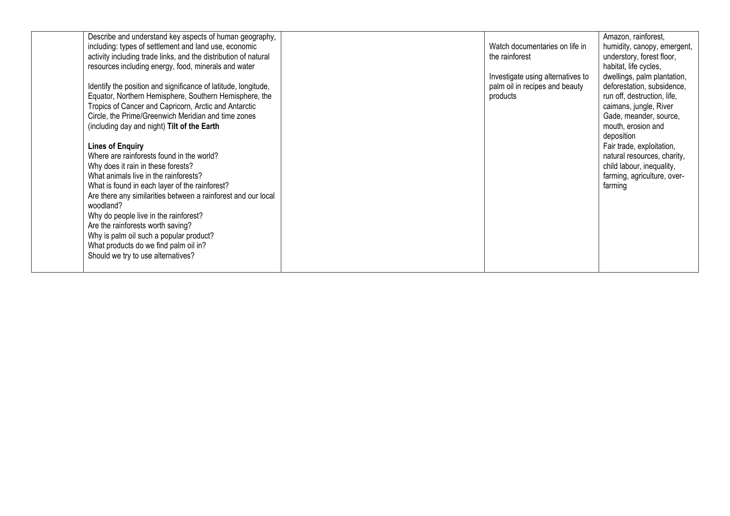| Describe and understand key aspects of human geography,         |                                   | Amazon, rainforest,         |
|-----------------------------------------------------------------|-----------------------------------|-----------------------------|
| including: types of settlement and land use, economic           | Watch documentaries on life in    | humidity, canopy, emergent, |
| activity including trade links, and the distribution of natural | the rainforest                    | understory, forest floor,   |
| resources including energy, food, minerals and water            |                                   | habitat, life cycles,       |
|                                                                 | Investigate using alternatives to | dwellings, palm plantation, |
| Identify the position and significance of latitude, longitude,  | palm oil in recipes and beauty    | deforestation, subsidence,  |
| Equator, Northern Hemisphere, Southern Hemisphere, the          | products                          | run off, destruction, life, |
| Tropics of Cancer and Capricorn, Arctic and Antarctic           |                                   | caimans, jungle, River      |
| Circle, the Prime/Greenwich Meridian and time zones             |                                   | Gade, meander, source,      |
| (including day and night) Tilt of the Earth                     |                                   | mouth, erosion and          |
|                                                                 |                                   | deposition                  |
| <b>Lines of Enquiry</b>                                         |                                   | Fair trade, exploitation,   |
| Where are rainforests found in the world?                       |                                   | natural resources, charity, |
| Why does it rain in these forests?                              |                                   | child labour, inequality,   |
| What animals live in the rainforests?                           |                                   | farming, agriculture, over- |
| What is found in each layer of the rainforest?                  |                                   | farming                     |
| Are there any similarities between a rainforest and our local   |                                   |                             |
| woodland?                                                       |                                   |                             |
| Why do people live in the rainforest?                           |                                   |                             |
| Are the rainforests worth saving?                               |                                   |                             |
| Why is palm oil such a popular product?                         |                                   |                             |
| What products do we find palm oil in?                           |                                   |                             |
| Should we try to use alternatives?                              |                                   |                             |
|                                                                 |                                   |                             |
|                                                                 |                                   |                             |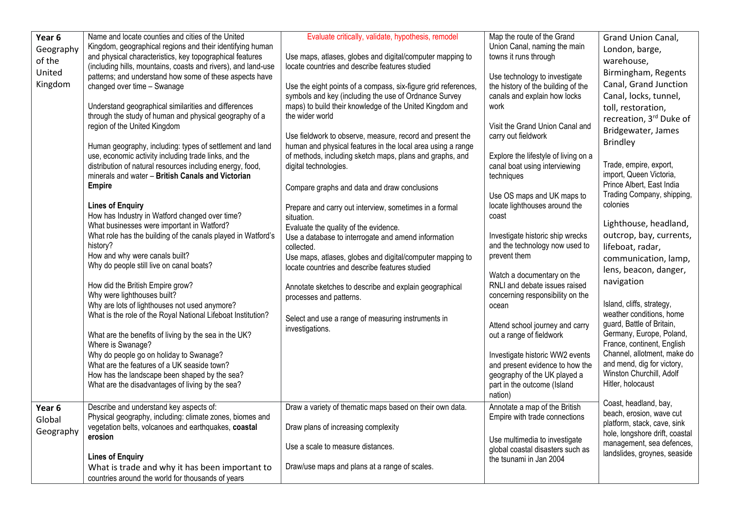| Year 6    | Name and locate counties and cities of the United             | Evaluate critically, validate, hypothesis, remodel             | Map the route of the Grand           | Grand Union Canal,             |
|-----------|---------------------------------------------------------------|----------------------------------------------------------------|--------------------------------------|--------------------------------|
| Geography | Kingdom, geographical regions and their identifying human     |                                                                | Union Canal, naming the main         | London, barge,                 |
| of the    | and physical characteristics, key topographical features      | Use maps, atlases, globes and digital/computer mapping to      | towns it runs through                | warehouse,                     |
| United    | (including hills, mountains, coasts and rivers), and land-use | locate countries and describe features studied                 |                                      |                                |
|           | patterns; and understand how some of these aspects have       |                                                                | Use technology to investigate        | Birmingham, Regents            |
| Kingdom   | changed over time - Swanage                                   | Use the eight points of a compass, six-figure grid references, | the history of the building of the   | Canal, Grand Junction          |
|           |                                                               | symbols and key (including the use of Ordnance Survey          | canals and explain how locks         | Canal, locks, tunnel,          |
|           | Understand geographical similarities and differences          | maps) to build their knowledge of the United Kingdom and       | work                                 | toll, restoration,             |
|           | through the study of human and physical geography of a        | the wider world                                                |                                      | recreation, 3rd Duke of        |
|           | region of the United Kingdom                                  |                                                                | Visit the Grand Union Canal and      | Bridgewater, James             |
|           |                                                               | Use fieldwork to observe, measure, record and present the      | carry out fieldwork                  |                                |
|           | Human geography, including: types of settlement and land      | human and physical features in the local area using a range    |                                      | <b>Brindley</b>                |
|           | use, economic activity including trade links, and the         | of methods, including sketch maps, plans and graphs, and       | Explore the lifestyle of living on a |                                |
|           | distribution of natural resources including energy, food,     | digital technologies.                                          | canal boat using interviewing        | Trade, empire, export,         |
|           | minerals and water - British Canals and Victorian             |                                                                | techniques                           | import, Queen Victoria,        |
|           | <b>Empire</b>                                                 | Compare graphs and data and draw conclusions                   |                                      | Prince Albert, East India      |
|           |                                                               |                                                                | Use OS maps and UK maps to           | Trading Company, shipping,     |
|           | <b>Lines of Enquiry</b>                                       | Prepare and carry out interview, sometimes in a formal         | locate lighthouses around the        | colonies                       |
|           | How has Industry in Watford changed over time?                | situation.                                                     | coast                                |                                |
|           | What businesses were important in Watford?                    | Evaluate the quality of the evidence.                          |                                      | Lighthouse, headland,          |
|           | What role has the building of the canals played in Watford's  | Use a database to interrogate and amend information            | Investigate historic ship wrecks     | outcrop, bay, currents,        |
|           | history?                                                      | collected.                                                     | and the technology now used to       | lifeboat, radar,               |
|           | How and why were canals built?                                | Use maps, atlases, globes and digital/computer mapping to      | prevent them                         | communication, lamp,           |
|           | Why do people still live on canal boats?                      | locate countries and describe features studied                 |                                      |                                |
|           |                                                               |                                                                | Watch a documentary on the           | lens, beacon, danger,          |
|           | How did the British Empire grow?                              | Annotate sketches to describe and explain geographical         | RNLI and debate issues raised        | navigation                     |
|           | Why were lighthouses built?                                   | processes and patterns.                                        | concerning responsibility on the     |                                |
|           | Why are lots of lighthouses not used anymore?                 |                                                                | ocean                                | Island, cliffs, strategy,      |
|           | What is the role of the Royal National Lifeboat Institution?  |                                                                |                                      | weather conditions, home       |
|           |                                                               | Select and use a range of measuring instruments in             | Attend school journey and carry      | guard, Battle of Britain,      |
|           | What are the benefits of living by the sea in the UK?         | investigations.                                                | out a range of fieldwork             | Germany, Europe, Poland,       |
|           | Where is Swanage?                                             |                                                                |                                      | France, continent, English     |
|           | Why do people go on holiday to Swanage?                       |                                                                | Investigate historic WW2 events      | Channel, allotment, make do    |
|           | What are the features of a UK seaside town?                   |                                                                | and present evidence to how the      | and mend, dig for victory,     |
|           | How has the landscape been shaped by the sea?                 |                                                                | geography of the UK played a         | Winston Churchill, Adolf       |
|           | What are the disadvantages of living by the sea?              |                                                                | part in the outcome (Island          | Hitler, holocaust              |
|           |                                                               |                                                                | nation)                              |                                |
|           |                                                               |                                                                |                                      | Coast, headland, bay,          |
| Year 6    | Describe and understand key aspects of:                       | Draw a variety of thematic maps based on their own data.       | Annotate a map of the British        | beach, erosion, wave cut       |
| Global    | Physical geography, including: climate zones, biomes and      |                                                                | Empire with trade connections        | platform, stack, cave, sink    |
| Geography | vegetation belts, volcanoes and earthquakes, coastal          | Draw plans of increasing complexity                            |                                      | hole, longshore drift, coastal |
|           | erosion                                                       |                                                                | Use multimedia to investigate        | management, sea defences,      |
|           |                                                               | Use a scale to measure distances.                              | global coastal disasters such as     | landslides, groynes, seaside   |
|           | <b>Lines of Enquiry</b>                                       |                                                                | the tsunami in Jan 2004              |                                |
|           | What is trade and why it has been important to                | Draw/use maps and plans at a range of scales.                  |                                      |                                |
|           | countries around the world for thousands of years             |                                                                |                                      |                                |